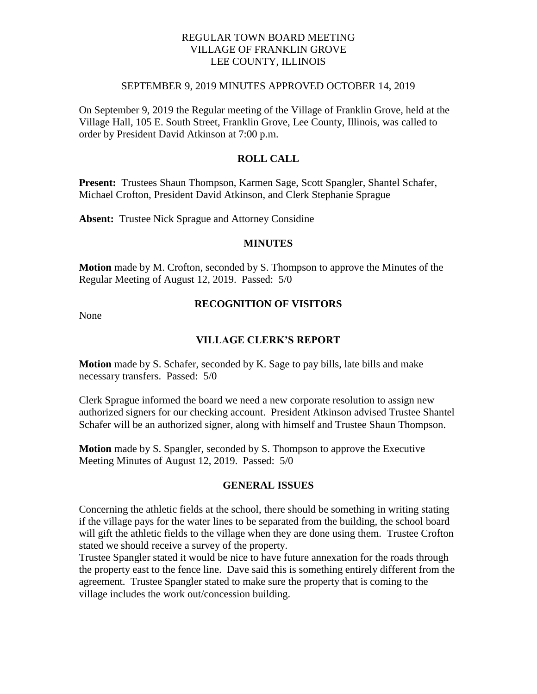## REGULAR TOWN BOARD MEETING VILLAGE OF FRANKLIN GROVE LEE COUNTY, ILLINOIS

#### SEPTEMBER 9, 2019 MINUTES APPROVED OCTOBER 14, 2019

On September 9, 2019 the Regular meeting of the Village of Franklin Grove, held at the Village Hall, 105 E. South Street, Franklin Grove, Lee County, Illinois, was called to order by President David Atkinson at 7:00 p.m.

## **ROLL CALL**

**Present:** Trustees Shaun Thompson, Karmen Sage, Scott Spangler, Shantel Schafer, Michael Crofton, President David Atkinson, and Clerk Stephanie Sprague

**Absent:** Trustee Nick Sprague and Attorney Considine

#### **MINUTES**

**Motion** made by M. Crofton, seconded by S. Thompson to approve the Minutes of the Regular Meeting of August 12, 2019. Passed: 5/0

None

# **RECOGNITION OF VISITORS**

#### **VILLAGE CLERK'S REPORT**

**Motion** made by S. Schafer, seconded by K. Sage to pay bills, late bills and make necessary transfers. Passed: 5/0

Clerk Sprague informed the board we need a new corporate resolution to assign new authorized signers for our checking account. President Atkinson advised Trustee Shantel Schafer will be an authorized signer, along with himself and Trustee Shaun Thompson.

**Motion** made by S. Spangler, seconded by S. Thompson to approve the Executive Meeting Minutes of August 12, 2019. Passed: 5/0

#### **GENERAL ISSUES**

Concerning the athletic fields at the school, there should be something in writing stating if the village pays for the water lines to be separated from the building, the school board will gift the athletic fields to the village when they are done using them. Trustee Crofton stated we should receive a survey of the property.

Trustee Spangler stated it would be nice to have future annexation for the roads through the property east to the fence line. Dave said this is something entirely different from the agreement. Trustee Spangler stated to make sure the property that is coming to the village includes the work out/concession building.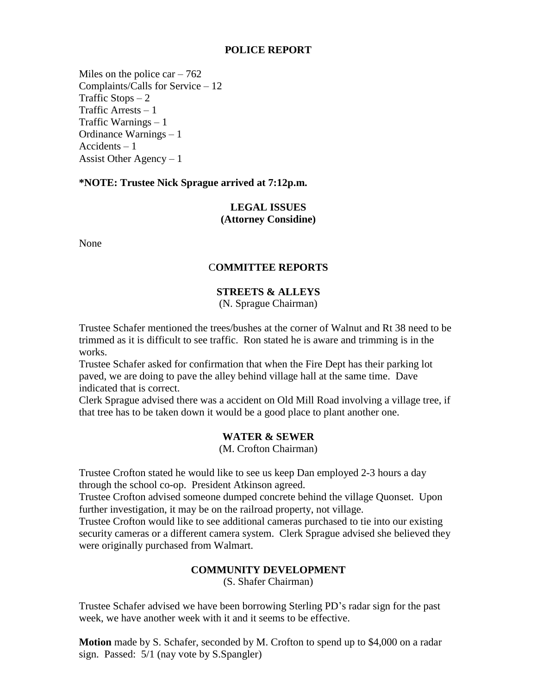## **POLICE REPORT**

Miles on the police car  $-762$ Complaints/Calls for Service – 12 Traffic Stops  $-2$ Traffic Arrests – 1 Traffic Warnings – 1 Ordinance Warnings – 1 Accidents – 1 Assist Other Agency – 1

### **\*NOTE: Trustee Nick Sprague arrived at 7:12p.m.**

# **LEGAL ISSUES (Attorney Considine)**

None

## C**OMMITTEE REPORTS**

# **STREETS & ALLEYS**

(N. Sprague Chairman)

Trustee Schafer mentioned the trees/bushes at the corner of Walnut and Rt 38 need to be trimmed as it is difficult to see traffic. Ron stated he is aware and trimming is in the works.

Trustee Schafer asked for confirmation that when the Fire Dept has their parking lot paved, we are doing to pave the alley behind village hall at the same time. Dave indicated that is correct.

Clerk Sprague advised there was a accident on Old Mill Road involving a village tree, if that tree has to be taken down it would be a good place to plant another one.

## **WATER & SEWER**

(M. Crofton Chairman)

Trustee Crofton stated he would like to see us keep Dan employed 2-3 hours a day through the school co-op. President Atkinson agreed.

Trustee Crofton advised someone dumped concrete behind the village Quonset. Upon further investigation, it may be on the railroad property, not village.

Trustee Crofton would like to see additional cameras purchased to tie into our existing security cameras or a different camera system. Clerk Sprague advised she believed they were originally purchased from Walmart.

## **COMMUNITY DEVELOPMENT**

(S. Shafer Chairman)

Trustee Schafer advised we have been borrowing Sterling PD's radar sign for the past week, we have another week with it and it seems to be effective.

**Motion** made by S. Schafer, seconded by M. Crofton to spend up to \$4,000 on a radar sign. Passed: 5/1 (nay vote by S.Spangler)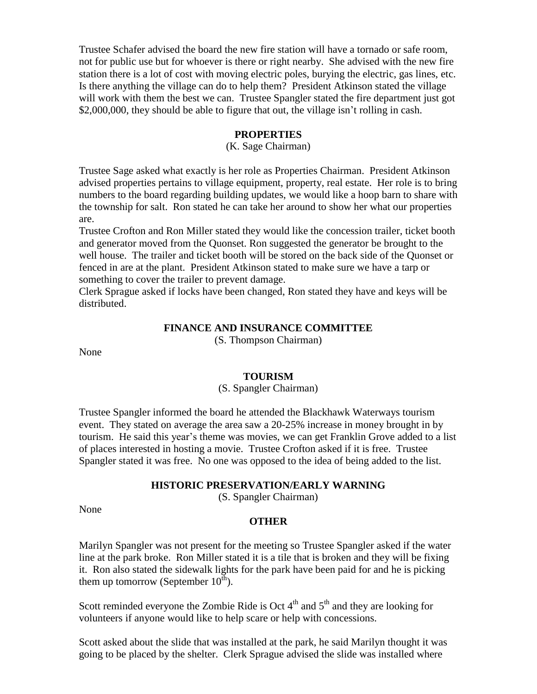Trustee Schafer advised the board the new fire station will have a tornado or safe room, not for public use but for whoever is there or right nearby. She advised with the new fire station there is a lot of cost with moving electric poles, burying the electric, gas lines, etc. Is there anything the village can do to help them? President Atkinson stated the village will work with them the best we can. Trustee Spangler stated the fire department just got \$2,000,000, they should be able to figure that out, the village isn't rolling in cash.

#### **PROPERTIES**

(K. Sage Chairman)

Trustee Sage asked what exactly is her role as Properties Chairman. President Atkinson advised properties pertains to village equipment, property, real estate. Her role is to bring numbers to the board regarding building updates, we would like a hoop barn to share with the township for salt. Ron stated he can take her around to show her what our properties are.

Trustee Crofton and Ron Miller stated they would like the concession trailer, ticket booth and generator moved from the Quonset. Ron suggested the generator be brought to the well house. The trailer and ticket booth will be stored on the back side of the Quonset or fenced in are at the plant. President Atkinson stated to make sure we have a tarp or something to cover the trailer to prevent damage.

Clerk Sprague asked if locks have been changed, Ron stated they have and keys will be distributed.

## **FINANCE AND INSURANCE COMMITTEE**

(S. Thompson Chairman)

None

### **TOURISM**

### (S. Spangler Chairman)

Trustee Spangler informed the board he attended the Blackhawk Waterways tourism event. They stated on average the area saw a 20-25% increase in money brought in by tourism. He said this year's theme was movies, we can get Franklin Grove added to a list of places interested in hosting a movie. Trustee Crofton asked if it is free. Trustee Spangler stated it was free. No one was opposed to the idea of being added to the list.

#### **HISTORIC PRESERVATION/EARLY WARNING**

(S. Spangler Chairman)

None

#### **OTHER**

Marilyn Spangler was not present for the meeting so Trustee Spangler asked if the water line at the park broke. Ron Miller stated it is a tile that is broken and they will be fixing it. Ron also stated the sidewalk lights for the park have been paid for and he is picking them up tomorrow (September  $10^{th}$ ).

Scott reminded everyone the Zombie Ride is Oct  $4<sup>th</sup>$  and  $5<sup>th</sup>$  and they are looking for volunteers if anyone would like to help scare or help with concessions.

Scott asked about the slide that was installed at the park, he said Marilyn thought it was going to be placed by the shelter. Clerk Sprague advised the slide was installed where